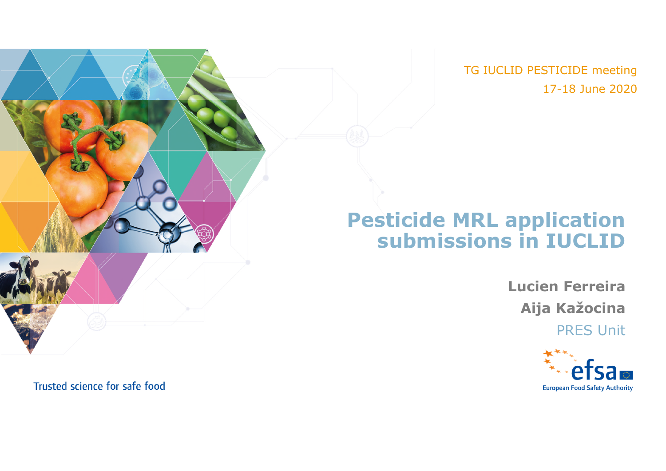TG IUCLID PESTICIDE meeting 17-18 June 2020

### **Pesticide MRL application submissions in IUCLID**

**Lucien Ferreira Aija Kažocina** PRES Unit



Trusted science for safe food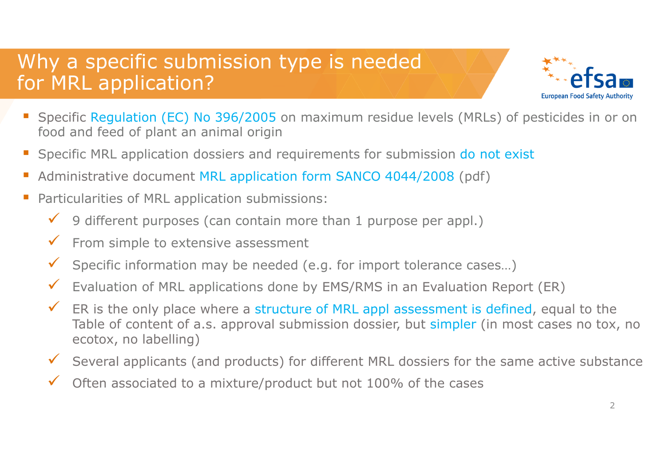## Why a specific submission type is needed for MRL application?



- Specific Regulation (EC) No 396/2005 on maximum residue levels (MRLs) of pesticides in or on food and feed of plant an animal origin
- Specific MRL application dossiers and requirements for submission do not exist
- Administrative document MRL application form SANCO 4044/2008 (pdf)
- **Particularities of MRL application submissions:** 
	- $\checkmark$  9 different purposes (can contain more than 1 purpose per appl.)
	- $\checkmark$  From simple to extensive assessment
	- $\checkmark$  Specific information may be needed (e.g. for import tolerance cases...)
	- $\checkmark$  Evaluation of MRL applications done by EMS/RMS in an Evaluation Report (ER)
	- $\checkmark$  ER is the only place where a structure of MRL appl assessment is defined, equal to the Table of content of a.s. approval submission dossier, but simpler (in most cases no tox, no ecotox, no labelling)
	- Several applicants (and products) for different MRL dossiers for the same active substance
	- $\checkmark$  Often associated to a mixture/product but not 100% of the cases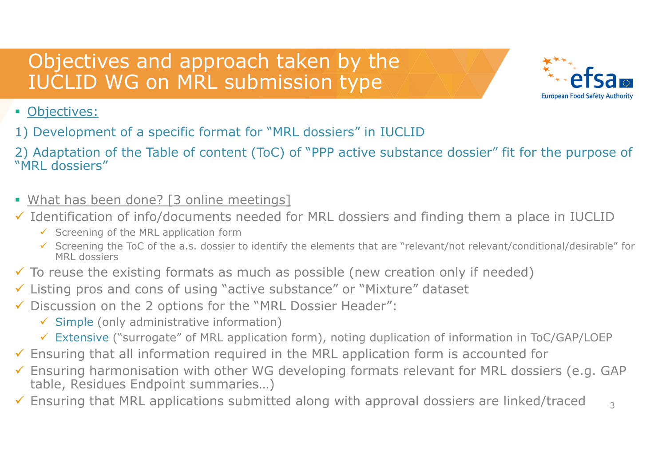## Objectives and approach taken by the IUCLID WG on MRL submission type



#### **• Objectives:**

- 1) Development of a specific format for "MRL dossiers" in IUCLID
- 2) Adaptation of the Table of content (ToC) of "PPP active substance dossier" fit for the purpose of "MRL dossiers"
- What has been done? [3 online meetings]
- $\checkmark$  Identification of info/documents needed for MRL dossiers and finding them a place in IUCLID
	- $\checkmark$  Screening of the MRL application form
	- Screening the ToC of the a.s. dossier to identify the elements that are "relevant/not relevant/conditional/desirable" for MRL dossiers
- $\checkmark$  To reuse the existing formats as much as possible (new creation only if needed)
- Listing pros and cons of using "active substance" or "Mixture" dataset
- Discussion on the 2 options for the "MRL Dossier Header":
	- $\checkmark$  Simple (only administrative information)
	- Extensive ("surrogate" of MRL application form), noting duplication of information in ToC/GAP/LOEP
- $\checkmark$  Ensuring that all information required in the MRL application form is accounted for
- $\checkmark$  Ensuring harmonisation with other WG developing formats relevant for MRL dossiers (e.g. GAP table, Residues Endpoint summaries…)
- $\checkmark$  Ensuring that MRL applications submitted along with approval dossiers are linked/traced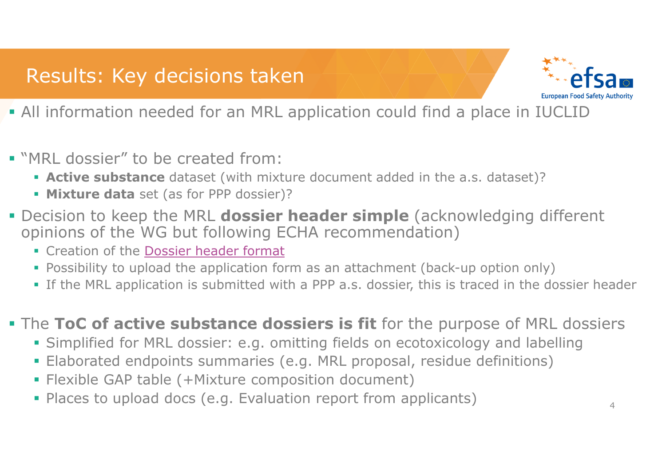## Results: Key decisions taken



- All information needed for an MRL application could find a place in IUCLID
- "MRL dossier" to be created from:
	- **Active substance** dataset (with mixture document added in the a.s. dataset)?
	- **Mixture data** set (as for PPP dossier)?
- **Decision to keep the MRL dossier header simple** (acknowledging different opinions of the WG but following ECHA recommendation)
	- **Creation of the Dossier header format**
	- Possibility to upload the application form as an attachment (back-up option only)
	- If the MRL application is submitted with a PPP a.s. dossier, this is traced in the dossier header
- **The ToC of active substance dossiers is fit** for the purpose of MRL dossiers
	- Simplified for MRL dossier: e.g. omitting fields on ecotoxicology and labelling
	- Elaborated endpoints summaries (e.g. MRL proposal, residue definitions)
	- Flexible GAP table (+Mixture composition document)
	- **Places to upload docs (e.g. Evaluation report from applicants)**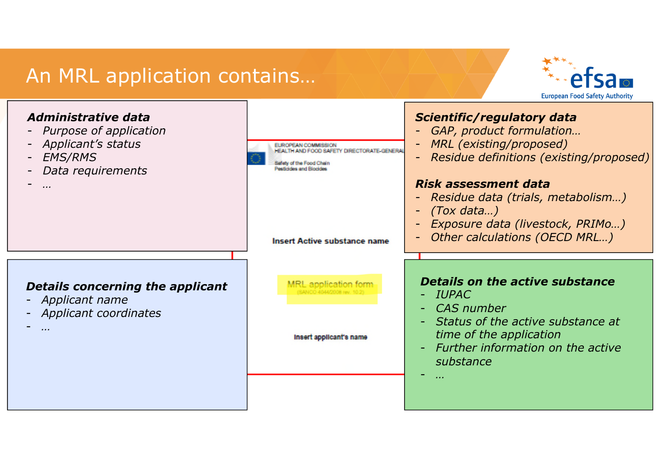### An MRL application contains…



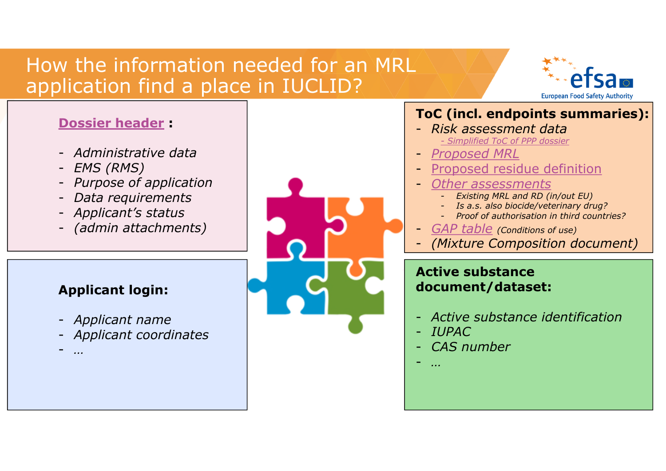## How the information needed for an MRL application find a place in IUCLID?



6

#### **Dossier header :**

- *Administrative data*
- *EMS (RMS)*
- *Purpose of application*
- *Data requirements*
- *Applicant's status*
- *(admin attachments)*

#### **Applicant login:**

- *Applicant name*
- *Applicant coordinates*
- *…*

#### **ToC (incl. endpoints summaries):**

- *Risk assessment data - Simplified ToC of PPP dossier*
- *Proposed MRL*
- Proposed residue definition
- *Other assessments*
	- *Existing MRL and RD (in/out EU)*
	- *Is a.s. also biocide/veterinary drug?*
	- *Proof of authorisation in third countries?*
- *GAP table (Conditions of use)*
- *(Mixture Composition document)*

#### **Active substance document/dataset:**

- *Active substance identification*
- *IUPAC*
- *CAS number*
- *…*